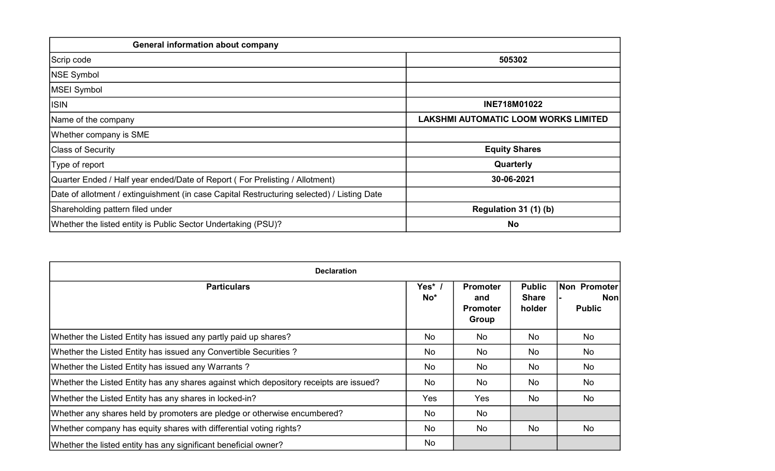| <b>General information about company</b>                                                   |                                      |
|--------------------------------------------------------------------------------------------|--------------------------------------|
| Scrip code                                                                                 | 505302                               |
| <b>NSE Symbol</b>                                                                          |                                      |
| MSEI Symbol                                                                                |                                      |
| <b>ISIN</b>                                                                                | INE718M01022                         |
| Name of the company                                                                        | LAKSHMI AUTOMATIC LOOM WORKS LIMITED |
| Whether company is SME                                                                     |                                      |
| <b>Class of Security</b>                                                                   | <b>Equity Shares</b>                 |
| Type of report                                                                             | Quarterly                            |
| Quarter Ended / Half year ended/Date of Report (For Prelisting / Allotment)                | 30-06-2021                           |
| Date of allotment / extinguishment (in case Capital Restructuring selected) / Listing Date |                                      |
| Shareholding pattern filed under                                                           | Regulation 31 (1) (b)                |
| Whether the listed entity is Public Sector Undertaking (PSU)?                              | <b>No</b>                            |

| <b>Declaration</b>                                                                     |                         |                                                    |                                         |                                      |  |  |  |  |  |  |  |  |
|----------------------------------------------------------------------------------------|-------------------------|----------------------------------------------------|-----------------------------------------|--------------------------------------|--|--|--|--|--|--|--|--|
| <b>Particulars</b>                                                                     | Yes*<br>No <sup>*</sup> | <b>Promoter</b><br>and<br><b>Promoter</b><br>Group | <b>Public</b><br><b>Share</b><br>holder | Non Promoter<br>Non<br><b>Public</b> |  |  |  |  |  |  |  |  |
| Whether the Listed Entity has issued any partly paid up shares?                        | No                      | <b>No</b>                                          | No.                                     | <b>No</b>                            |  |  |  |  |  |  |  |  |
| Whether the Listed Entity has issued any Convertible Securities?                       | No                      | No                                                 | No                                      | No                                   |  |  |  |  |  |  |  |  |
| Whether the Listed Entity has issued any Warrants?                                     | No                      | No                                                 | No                                      | No                                   |  |  |  |  |  |  |  |  |
| Whether the Listed Entity has any shares against which depository receipts are issued? | No                      | No                                                 | No                                      | No                                   |  |  |  |  |  |  |  |  |
| Whether the Listed Entity has any shares in locked-in?                                 | Yes                     | Yes                                                | No                                      | <b>No</b>                            |  |  |  |  |  |  |  |  |
| Whether any shares held by promoters are pledge or otherwise encumbered?               | No                      | No                                                 |                                         |                                      |  |  |  |  |  |  |  |  |
| Whether company has equity shares with differential voting rights?                     | No                      | No                                                 | No                                      | No                                   |  |  |  |  |  |  |  |  |
| Whether the listed entity has any significant beneficial owner?                        | No                      |                                                    |                                         |                                      |  |  |  |  |  |  |  |  |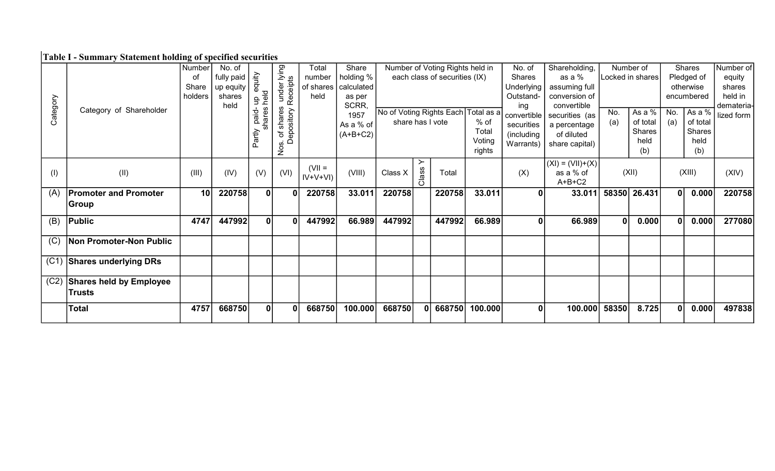# Table I - Summary Statement holding of specified securities

|          |                                | Number  | No. of                                              |                 | sunder lying<br>Receipts | Total      | Share      |                                                         |              | Number of Voting Rights held in |         | No. of        | Shareholding,         |              | Number of          |                | Shares             | Number of  |
|----------|--------------------------------|---------|-----------------------------------------------------|-----------------|--------------------------|------------|------------|---------------------------------------------------------|--------------|---------------------------------|---------|---------------|-----------------------|--------------|--------------------|----------------|--------------------|------------|
|          |                                | οf      | fully paid $\frac{2}{5}$<br>up equity $\frac{2}{5}$ |                 |                          | number     | holding %  |                                                         |              | each class of securities (IX)   |         | <b>Shares</b> | as a %                |              | Locked in shares   |                | Pledged of         | equity     |
|          |                                | Share   |                                                     |                 |                          | of shares  | calculated |                                                         |              |                                 |         | Underlying    | assuming full         |              |                    |                | otherwise          | shares     |
|          |                                | holders | shares                                              | held<br>qn      |                          | held       | as per     |                                                         |              |                                 |         | Outstand-     | conversion of         |              |                    |                | encumbered         | held in    |
|          | Category of Shareholder        |         | held                                                |                 |                          |            | SCRR,      |                                                         |              |                                 |         | ing           | convertible           | No.          |                    |                |                    | demateria- |
| Category |                                |         |                                                     | shares<br>pied. | shares<br>ository        |            | 1957       | No of Voting Rights Each Total as a<br>share has I vote |              |                                 | $%$ of  | convertible   | securities (as        |              | As a %<br>of total | No.            | As a %<br>of total | lized form |
|          |                                |         |                                                     |                 |                          |            | As a % of  |                                                         |              |                                 | Total   | securities    | a percentage          | (a)          | Shares             | (a)            | Shares             |            |
|          |                                |         |                                                     | Partly          | န္မ<br>đ<br>Õ            |            | $(A+B+C2)$ |                                                         |              |                                 | Voting  | (including    | of diluted            |              | held               |                | held               |            |
|          |                                |         |                                                     |                 | Nos.                     |            |            |                                                         |              |                                 | rights  | Warrants)     | share capital)        |              | (b)                |                | (b)                |            |
|          |                                |         |                                                     |                 |                          |            |            |                                                         |              |                                 |         |               |                       |              |                    |                |                    |            |
|          |                                |         |                                                     |                 |                          | $(VII =$   |            |                                                         |              |                                 |         |               | $(XI) = (VII)+(X)$    |              |                    |                |                    |            |
| (1)      | (II)                           | (III)   | (IV)                                                | (V)             | (VI)                     | $IV+V+VI)$ | (VIII)     | Class X                                                 | Class        | Total                           |         | (X)           | as a % of<br>$A+B+C2$ |              | (XII)              |                | (XIII)             | (XIV)      |
|          | <b>Promoter and Promoter</b>   | 10      | 220758                                              | $\mathbf{0}$    | $\mathbf{0}$             |            |            | 220758                                                  |              |                                 |         | $\Omega$      |                       |              |                    |                |                    |            |
| (A)      |                                |         |                                                     |                 |                          | 220758     | 33.011     |                                                         |              | 220758                          | 33.011  |               | 33.011                | 58350        | 26.431             | 0 <sup>1</sup> | 0.000              | 220758     |
|          | Group                          |         |                                                     |                 |                          |            |            |                                                         |              |                                 |         |               |                       |              |                    |                |                    |            |
| (B)      | Public                         | 4747    | 447992                                              | 0               | $\mathbf 0$              | 447992     | 66.989     | 447992                                                  |              | 447992                          | 66.989  | 0             | 66.989                | $\mathbf{0}$ | 0.000              |                | 0.000              | 277080     |
|          |                                |         |                                                     |                 |                          |            |            |                                                         |              |                                 |         |               |                       |              |                    |                |                    |            |
| (C)      | Non Promoter-Non Public        |         |                                                     |                 |                          |            |            |                                                         |              |                                 |         |               |                       |              |                    |                |                    |            |
|          |                                |         |                                                     |                 |                          |            |            |                                                         |              |                                 |         |               |                       |              |                    |                |                    |            |
| (C1)     | <b>Shares underlying DRs</b>   |         |                                                     |                 |                          |            |            |                                                         |              |                                 |         |               |                       |              |                    |                |                    |            |
|          |                                |         |                                                     |                 |                          |            |            |                                                         |              |                                 |         |               |                       |              |                    |                |                    |            |
| (C2)     | <b>Shares held by Employee</b> |         |                                                     |                 |                          |            |            |                                                         |              |                                 |         |               |                       |              |                    |                |                    |            |
|          | <b>Trusts</b>                  |         |                                                     |                 |                          |            |            |                                                         |              |                                 |         |               |                       |              |                    |                |                    |            |
|          | <b>Total</b>                   | 4757    | 668750                                              | 0               | $\bf{0}$                 | 668750     | 100.000    | 668750                                                  | $\mathbf{0}$ | 668750                          | 100.000 | $\mathbf{0}$  | 100.000               | 58350        | 8.725              |                | 0.000              | 497838     |
|          |                                |         |                                                     |                 |                          |            |            |                                                         |              |                                 |         |               |                       |              |                    |                |                    |            |
|          |                                |         |                                                     |                 |                          |            |            |                                                         |              |                                 |         |               |                       |              |                    |                |                    |            |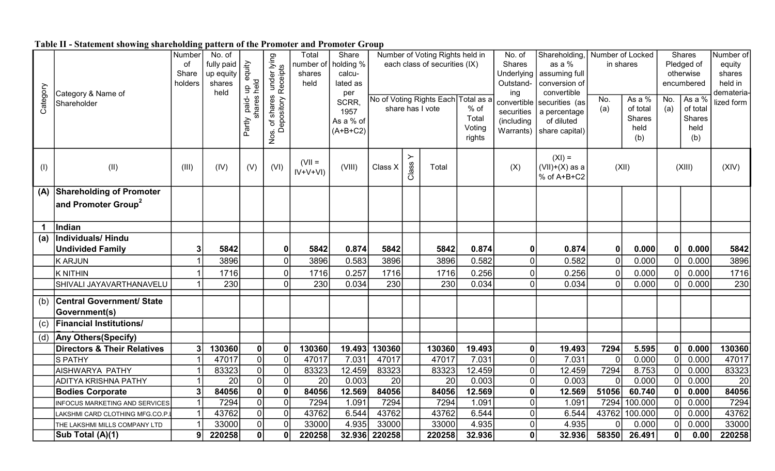|  |  |  | Table II - Statement showing shareholding pattern of the Promoter and Promoter Group |  |
|--|--|--|--------------------------------------------------------------------------------------|--|
|  |  |  |                                                                                      |  |

| Category | Category & Name of<br>Shareholder                 | Number<br>of<br>Share<br>holders | No. of<br>fully paid<br>up equity<br>shares<br>held | equity<br>held<br>음<br>es<br>paid-<br>Partly | lying<br>ts<br>under Iveceipts<br>shares<br>epository<br>$\overline{\sigma}$<br>≏<br>Nos. | Total<br>number of<br>shares<br>held | Share<br>holding %<br>calcu-<br>lated as<br>per<br>SCRR.<br>1957<br>As a % of<br>$(A+B+C2)$ |                |                               | Number of Voting Rights held in<br>each class of securities (IX)<br>No of Voting Rights Each Total as a<br>share has I vote | $%$ of<br>Total<br>Voting<br>rights | No. of<br>Shares<br>Underlying<br>Outstand-<br>ing<br>convertible<br>securities<br>(including<br>Warrants) | Shareholding,<br>as a %<br>assuming full<br>conversion of<br>convertible<br>securities (as<br>a percentage<br>of diluted<br>share capital) | Number of Locked<br>No.<br>(a) | in shares<br>As a %<br>of total<br>Shares<br>held<br>(b) | No.<br>(a)   | Shares<br>Pledged of<br>otherwise<br>encumbered<br>As a %<br>of total<br><b>Shares</b><br>held<br>(b) | Number of<br>equity<br>shares<br>held in<br>demateria-<br>lized form |
|----------|---------------------------------------------------|----------------------------------|-----------------------------------------------------|----------------------------------------------|-------------------------------------------------------------------------------------------|--------------------------------------|---------------------------------------------------------------------------------------------|----------------|-------------------------------|-----------------------------------------------------------------------------------------------------------------------------|-------------------------------------|------------------------------------------------------------------------------------------------------------|--------------------------------------------------------------------------------------------------------------------------------------------|--------------------------------|----------------------------------------------------------|--------------|-------------------------------------------------------------------------------------------------------|----------------------------------------------------------------------|
| (1)      | (II)                                              | (III)                            | (IV)                                                | (V)                                          | (VI)                                                                                      | $(VII =$<br>$IV+V+VI)$               | (VIII)                                                                                      | Class X        | $\succ$<br>Class <sup>'</sup> | Total                                                                                                                       |                                     | (X)                                                                                                        | $(XI) =$<br>$(VII)+(X)$ as a<br>% of A+B+C2                                                                                                |                                | (XII)                                                    |              | (XIII)                                                                                                | (XIV)                                                                |
| (A)      | <b>Shareholding of Promoter</b>                   |                                  |                                                     |                                              |                                                                                           |                                      |                                                                                             |                |                               |                                                                                                                             |                                     |                                                                                                            |                                                                                                                                            |                                |                                                          |              |                                                                                                       |                                                                      |
|          | and Promoter Group <sup>2</sup>                   |                                  |                                                     |                                              |                                                                                           |                                      |                                                                                             |                |                               |                                                                                                                             |                                     |                                                                                                            |                                                                                                                                            |                                |                                                          |              |                                                                                                       |                                                                      |
|          | Indian                                            |                                  |                                                     |                                              |                                                                                           |                                      |                                                                                             |                |                               |                                                                                                                             |                                     |                                                                                                            |                                                                                                                                            |                                |                                                          |              |                                                                                                       |                                                                      |
| (a)      | Individuals/Hindu                                 |                                  |                                                     |                                              |                                                                                           |                                      |                                                                                             |                |                               |                                                                                                                             |                                     |                                                                                                            |                                                                                                                                            |                                |                                                          |              |                                                                                                       |                                                                      |
|          | <b>Undivided Family</b>                           | 3                                | 5842                                                |                                              | $\mathbf 0$                                                                               | 5842                                 | 0.874                                                                                       | 5842           |                               | 5842                                                                                                                        | 0.874                               | $\mathbf 0$                                                                                                | 0.874                                                                                                                                      |                                | 0.000                                                    | $\mathbf{0}$ | 0.000                                                                                                 | 5842                                                                 |
|          | K ARJUN                                           | 1                                | 3896                                                |                                              | $\overline{0}$                                                                            | 3896                                 | 0.583                                                                                       | 3896           |                               | 3896                                                                                                                        | 0.582                               | $\overline{0}$                                                                                             | 0.582                                                                                                                                      |                                | 0.000                                                    |              | 0.000                                                                                                 | 3896                                                                 |
|          | <b>K NITHIN</b>                                   |                                  | 1716                                                |                                              | $\overline{0}$                                                                            | 1716                                 | 0.257                                                                                       | 1716           |                               | 1716                                                                                                                        | 0.256                               | 0                                                                                                          | 0.256                                                                                                                                      |                                | 0.000                                                    |              | 0.000                                                                                                 | 1716                                                                 |
|          | SHIVALI JAYAVARTHANAVELU                          |                                  | 230                                                 |                                              | $\Omega$                                                                                  | 230                                  | 0.034                                                                                       | 230            |                               | 230                                                                                                                         | 0.034                               | $\Omega$                                                                                                   | 0.034                                                                                                                                      |                                | 0.000                                                    |              | 0.000                                                                                                 | 230                                                                  |
| (b)      | <b>Central Government/ State</b><br>Government(s) |                                  |                                                     |                                              |                                                                                           |                                      |                                                                                             |                |                               |                                                                                                                             |                                     |                                                                                                            |                                                                                                                                            |                                |                                                          |              |                                                                                                       |                                                                      |
| (c)      | <b>Financial Institutions/</b>                    |                                  |                                                     |                                              |                                                                                           |                                      |                                                                                             |                |                               |                                                                                                                             |                                     |                                                                                                            |                                                                                                                                            |                                |                                                          |              |                                                                                                       |                                                                      |
|          | (d) Any Others (Specify)                          |                                  |                                                     |                                              |                                                                                           |                                      |                                                                                             |                |                               |                                                                                                                             |                                     |                                                                                                            |                                                                                                                                            |                                |                                                          |              |                                                                                                       |                                                                      |
|          | Directors & Their Relatives                       | 3                                | 130360                                              | 0                                            | $\mathbf 0$                                                                               | 130360                               | 19.493                                                                                      | 130360         |                               | 130360                                                                                                                      | 19.493                              | $\mathbf 0$                                                                                                | 19.493                                                                                                                                     | 7294                           | 5.595                                                    |              | 0.000                                                                                                 | 130360                                                               |
|          | <b>S PATHY</b>                                    |                                  | 47017                                               | 0                                            | $\overline{0}$                                                                            | 47017                                | 7.031                                                                                       | 47017          |                               | 47017                                                                                                                       | 7.031                               | $\overline{0}$                                                                                             | 7.031                                                                                                                                      |                                | 0.000                                                    |              | 0.000                                                                                                 | 47017                                                                |
|          | AISHWARYA PATHY                                   |                                  | 83323                                               | $\overline{0}$                               | $\overline{0}$                                                                            | 83323                                | 12.459                                                                                      | 83323          |                               | 83323                                                                                                                       | 12.459                              | $\overline{0}$                                                                                             | 12.459                                                                                                                                     | 7294                           | 8.753                                                    |              | 0.000                                                                                                 | 83323                                                                |
|          | <b>ADITYA KRISHNA PATHY</b>                       |                                  | 20                                                  | $\overline{0}$                               | $\overline{0}$                                                                            | 20                                   | 0.003                                                                                       | 20             |                               | 20                                                                                                                          | 0.003                               | $\Omega$                                                                                                   | 0.003                                                                                                                                      |                                | 0.000                                                    |              | 0.000                                                                                                 | 20                                                                   |
|          | <b>Bodies Corporate</b>                           | $\mathbf{3}$                     | 84056                                               | $\mathbf{0}$                                 | 0                                                                                         | 84056                                | 12.569                                                                                      | 84056          |                               | 84056                                                                                                                       | 12.569                              | $\mathbf{0}$                                                                                               | 12.569                                                                                                                                     | 51056                          | 60.740                                                   |              | 0.000                                                                                                 | 84056                                                                |
|          | <b>INFOCUS MARKETING AND SERVICES</b>             |                                  | 7294                                                | 0                                            | $\overline{0}$                                                                            | 7294                                 | 1.091                                                                                       | 7294           |                               | 7294                                                                                                                        | 1.091                               | 0                                                                                                          | 1.091                                                                                                                                      | 7294                           | 100.000                                                  |              | 0.000                                                                                                 | 7294                                                                 |
|          | LAKSHMI CARD CLOTHING MFG.CO.P                    |                                  | 43762<br>33000                                      | 0 <br>$\overline{0}$                         | 0 <br>$\overline{0}$                                                                      | 43762<br>33000                       | 6.544<br>4.935                                                                              | 43762<br>33000 |                               | 43762<br>33000                                                                                                              | 6.544<br>4.935                      | $\overline{0}$<br>$\Omega$                                                                                 | 6.544<br>4.935                                                                                                                             | 43762                          | 100.000<br>0.000                                         |              | 0.000<br>0.000                                                                                        | 43762<br>33000                                                       |
|          | THE LAKSHMI MILLS COMPANY LTD<br>Sub Total (A)(1) | 9                                | 220258                                              | 0                                            | $\mathbf{0}$                                                                              | 220258                               |                                                                                             | 32.936 220258  |                               | 220258                                                                                                                      | 32.936                              | 0                                                                                                          | 32.936                                                                                                                                     | 58350                          | 26.491                                                   | 0            | 0.00                                                                                                  | 220258                                                               |
|          |                                                   |                                  |                                                     |                                              |                                                                                           |                                      |                                                                                             |                |                               |                                                                                                                             |                                     |                                                                                                            |                                                                                                                                            |                                |                                                          |              |                                                                                                       |                                                                      |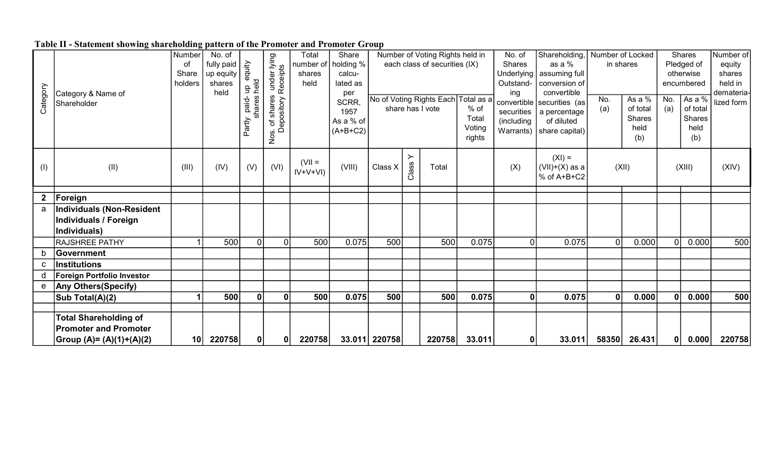|  |  |  | Table II - Statement showing shareholding pattern of the Promoter and Promoter Group |  |
|--|--|--|--------------------------------------------------------------------------------------|--|
|  |  |  |                                                                                      |  |

|          |                                   | Number  | No. of     |                       |                           | Total      | Share         |               |         | Number of Voting Rights held in     |        | No. of       | Shareholding,              | Number of Locked |              |     | Shares     | Number of  |
|----------|-----------------------------------|---------|------------|-----------------------|---------------------------|------------|---------------|---------------|---------|-------------------------------------|--------|--------------|----------------------------|------------------|--------------|-----|------------|------------|
|          |                                   | οf      | fully paid | י equity<br>held<br>— | s under lying<br>Receipts | number of  | holding %     |               |         | each class of securities (IX)       |        | Shares       | as a %                     | in shares        |              |     | Pledged of | equity     |
|          |                                   | Share   | up equity  |                       |                           | shares     | calcu-        |               |         |                                     |        | Underlying   | assuming full              |                  |              |     | otherwise  | shares     |
|          |                                   | holders | shares     |                       |                           | held       | lated as      |               |         |                                     |        | Outstand-    | conversion of              |                  |              |     | encumbered | held in    |
| Category | Category & Name of                |         | held       |                       |                           |            | per           |               |         | No of Voting Rights Each Total as a |        | ing          | convertible                | No.              | As a %       | No. | As a %     | demateria- |
|          | Shareholder                       |         |            | paid-                 | ares<br>sitory            |            | SCRR,<br>1957 |               |         | share has I vote                    | % of   | securities   | convertible securities (as | (a)              | of total     | (a) | of total   | lized form |
|          |                                   |         |            |                       | <u>چ</u>                  |            | As a % of     |               |         |                                     | Total  | (including   | a percentage<br>of diluted |                  | Shares       |     | Shares     |            |
|          |                                   |         |            | Partly                | đ                         |            | $(A+B+C2)$    |               |         |                                     | Voting | Warrants)    | share capital)             |                  | held         |     | held       |            |
|          |                                   |         |            |                       | Nos.                      |            |               |               |         |                                     | rights |              |                            |                  | (b)          |     | (b)        |            |
|          |                                   |         |            |                       |                           |            |               |               | $\succ$ |                                     |        |              | $(XI) =$                   |                  |              |     |            |            |
| (1)      | (II)                              | (III)   | (IV)       | (V)                   | (VI)                      | $(VII =$   | (VIII)        | Class X       | Class   | Total                               |        | (X)          | $(VII)+(X)$ as a           |                  | (XII)        |     | (XIII)     | (XIV)      |
|          |                                   |         |            |                       |                           | $IV+V+VI)$ |               |               |         |                                     |        |              | % of A+B+C2                |                  |              |     |            |            |
|          |                                   |         |            |                       |                           |            |               |               |         |                                     |        |              |                            |                  |              |     |            |            |
|          | Foreign                           |         |            |                       |                           |            |               |               |         |                                     |        |              |                            |                  |              |     |            |            |
| a        | Individuals (Non-Resident         |         |            |                       |                           |            |               |               |         |                                     |        |              |                            |                  |              |     |            |            |
|          | Individuals / Foreign             |         |            |                       |                           |            |               |               |         |                                     |        |              |                            |                  |              |     |            |            |
|          | Individuals)                      |         |            |                       |                           |            |               |               |         |                                     |        |              |                            |                  |              |     |            |            |
|          | <b>RAJSHREE PATHY</b>             |         | 500        | $\mathbf 0$           | $\overline{0}$            | 500        | 0.075         | 500           |         | 500                                 | 0.075  | $\Omega$     | 0.075                      | $\Omega$         | 0.000        |     | 0.000      | 500        |
|          | Government                        |         |            |                       |                           |            |               |               |         |                                     |        |              |                            |                  |              |     |            |            |
| C        | Institutions                      |         |            |                       |                           |            |               |               |         |                                     |        |              |                            |                  |              |     |            |            |
| d        | <b>Foreign Portfolio Investor</b> |         |            |                       |                           |            |               |               |         |                                     |        |              |                            |                  |              |     |            |            |
|          | e   Any Others (Specify)          |         |            |                       |                           |            |               |               |         |                                     |        |              |                            |                  |              |     |            |            |
|          | Sub Total(A)(2)                   |         | 500        | 0                     | $\mathbf{0}$              | 500        | 0.075         | 500           |         | 500                                 | 0.075  | $\mathbf{0}$ | 0.075                      |                  | 0.000        |     | 0.000      | 500        |
|          |                                   |         |            |                       |                           |            |               |               |         |                                     |        |              |                            |                  |              |     |            |            |
|          | <b>Total Shareholding of</b>      |         |            |                       |                           |            |               |               |         |                                     |        |              |                            |                  |              |     |            |            |
|          | <b>Promoter and Promoter</b>      |         |            |                       |                           |            |               |               |         |                                     |        |              |                            |                  |              |     |            |            |
|          | Group (A)= (A)(1)+(A)(2)          | 10      | 220758     | 0                     | $\mathbf{0}$              | 220758     |               | 33.011 220758 |         | 220758                              | 33.011 | 01           | 33.011                     |                  | 58350 26.431 | 0   | 0.000      | 220758     |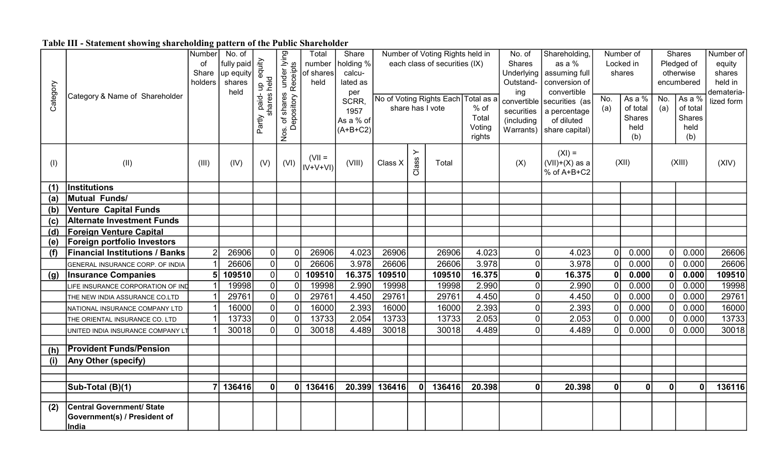## Table III - Statement showing shareholding pattern of the Public Shareholder

|          |                                       | Number         | No. of     |                        |                                             | Total     | Share      |         |         | Number of Voting Rights held in     |               | No. of           | Shareholding,                |              | Number of          |                | <b>Shares</b>             | Number of  |
|----------|---------------------------------------|----------------|------------|------------------------|---------------------------------------------|-----------|------------|---------|---------|-------------------------------------|---------------|------------------|------------------------------|--------------|--------------------|----------------|---------------------------|------------|
|          |                                       | of             | fully paid |                        |                                             | number    | holding %  |         |         | each class of securities (IX)       |               | Shares           | as a %                       |              | Locked in          |                | Pledged of                | equity     |
|          |                                       | Share          | up equity  | equity                 |                                             | of shares | calcu-     |         |         |                                     |               | Underlying       | assuming full                |              | shares             |                | otherwise                 | shares     |
|          |                                       | holders        | shares     | held<br>$\overline{a}$ | of shares under lying<br>epository Receipts | held      | lated as   |         |         |                                     |               | Outstand-        | conversion of                |              |                    |                | encumbered                | held in    |
| Category | Category & Name of Shareholder        |                | held       | ဖ                      |                                             |           | per        |         |         |                                     |               | ing              | convertible                  |              |                    |                |                           | demateria- |
|          |                                       |                |            | paid-<br>nare          |                                             |           | SCRR.      |         |         | No of Voting Rights Each Total as a |               | convertible      | securities (as               | No.          | As a $\sqrt{6}$    | No.            | As a %                    | lized form |
|          |                                       |                |            |                        |                                             |           | 1957       |         |         | share has I vote                    | % of<br>Total | securities       | a percentage                 | (a)          | of total<br>Shares | (a)            | of total<br><b>Shares</b> |            |
|          |                                       |                |            | Partly                 | Depository                                  |           | As a % of  |         |         |                                     | Voting        | (including       | of diluted                   |              | held               |                | held                      |            |
|          |                                       |                |            |                        | Nos.                                        |           | $(A+B+C2)$ |         |         |                                     | rights        |                  | Warrants) $ $ share capital) |              | (b)                |                | (b)                       |            |
|          |                                       |                |            |                        |                                             |           |            |         |         |                                     |               |                  |                              |              |                    |                |                           |            |
|          |                                       |                |            |                        |                                             | $(VII =$  |            |         | $\succ$ |                                     |               |                  | $(XI) =$                     |              |                    |                |                           |            |
| (1)      | (II)                                  | (III)          | (IV)       | (V)                    | (VI)                                        | $ V+V+V $ | (VIII)     | Class X | Class   | Total                               |               | (X)              | $(VII)+(X)$ as a             |              | (XII)              |                | (XIII)                    | (XIV)      |
|          |                                       |                |            |                        |                                             |           |            |         |         |                                     |               |                  | % of A+B+C2                  |              |                    |                |                           |            |
| (1)      | Institutions                          |                |            |                        |                                             |           |            |         |         |                                     |               |                  |                              |              |                    |                |                           |            |
| (a)      | <b>Mutual Funds/</b>                  |                |            |                        |                                             |           |            |         |         |                                     |               |                  |                              |              |                    |                |                           |            |
| (b)      | <b>Venture Capital Funds</b>          |                |            |                        |                                             |           |            |         |         |                                     |               |                  |                              |              |                    |                |                           |            |
| (c)      | <b>Alternate Investment Funds</b>     |                |            |                        |                                             |           |            |         |         |                                     |               |                  |                              |              |                    |                |                           |            |
| (d)      | <b>Foreign Venture Capital</b>        |                |            |                        |                                             |           |            |         |         |                                     |               |                  |                              |              |                    |                |                           |            |
| (e)      | Foreign portfolio Investors           |                |            |                        |                                             |           |            |         |         |                                     |               |                  |                              |              |                    |                |                           |            |
| (f)      | <b>Financial Institutions / Banks</b> | $\overline{2}$ | 26906      | 0                      | $\overline{0}$                              | 26906     | 4.023      | 26906   |         | 26906                               | 4.023         | $\pmb{0}$        | 4.023                        | 0I           | 0.000              | $\overline{0}$ | 0.000                     | 26606      |
|          | GENERAL INSURANCE CORP. OF INDIA      |                | 26606      | $\overline{0}$         | $\Omega$                                    | 26606     | 3.978      | 26606   |         | 26606                               | 3.978         | $\mathbf 0$      | 3.978                        | $\Omega$     | 0.000              | $\sqrt{ }$     | 0.000                     | 26606      |
| (g)      | <b>Insurance Companies</b>            | 5              | 109510     | $\overline{0}$         | $\overline{0}$                              | 109510    | 16.375     | 109510  |         | 109510                              | 16.375        | $\mathbf 0$      | 16.375                       | $\mathbf{0}$ | 0.000              | 0              | 0.000                     | 109510     |
|          | LIFE INSURANCE CORPORATION OF IND     |                | 19998      | $\overline{0}$         | $\overline{0}$                              | 19998     | 2.990      | 19998   |         | 19998                               | 2.990         | $\boldsymbol{0}$ | 2.990                        | $\Omega$     | 0.000              | $\Omega$       | 0.000                     | 19998      |
|          | THE NEW INDIA ASSURANCE CO.LTD        |                | 29761      | $\overline{0}$         | $\overline{0}$                              | 29761     | 4.450      | 29761   |         | 29761                               | 4.450         | $\mathbf 0$      | 4.450                        | $\Omega$     | 0.000              | $\overline{0}$ | 0.000                     | 29761      |
|          | NATIONAL INSURANCE COMPANY LTD        |                | 16000      | $\overline{0}$         | $\overline{0}$                              | 16000     | 2.393      | 16000   |         | 16000                               | 2.393         | $\mathbf 0$      | 2.393                        | $\Omega$     | 0.000              | $\overline{0}$ | 0.000                     | 16000      |
|          | THE ORIENTAL INSURANCE CO. LTD        |                | 13733      | $\overline{0}$         | $\overline{0}$                              | 13733     | 2.054      | 13733   |         | 13733                               | 2.053         | $\pmb{0}$        | 2.053                        | $\Omega$     | 0.000              | $\overline{0}$ | 0.000                     | 13733      |
|          | UNITED INDIA INSURANCE COMPANY L'     |                | 30018      | $\Omega$               |                                             | 30018     | 4.489      | 30018   |         | 30018                               | 4.489         | $\overline{0}$   | 4.489                        |              | 0.000              | $\sqrt{ }$     | 0.000                     | 30018      |
|          | <b>Provident Funds/Pension</b>        |                |            |                        |                                             |           |            |         |         |                                     |               |                  |                              |              |                    |                |                           |            |
| (h)      |                                       |                |            |                        |                                             |           |            |         |         |                                     |               |                  |                              |              |                    |                |                           |            |
| (i)      | <b>Any Other (specify)</b>            |                |            |                        |                                             |           |            |         |         |                                     |               |                  |                              |              |                    |                |                           |            |
|          |                                       |                |            |                        |                                             |           |            |         |         |                                     |               |                  |                              |              |                    |                |                           |            |
|          | Sub-Total (B)(1)                      |                | 136416     | $\mathbf{0}$           | Ω                                           | 136416    | 20.399     | 136416  | 0       | 136416                              | 20.398        | $\mathbf 0$      | 20.398                       | 0            | 0                  | 0              | $\bf{0}$                  | 136116     |
|          |                                       |                |            |                        |                                             |           |            |         |         |                                     |               |                  |                              |              |                    |                |                           |            |
| (2)      | <b>Central Government/ State</b>      |                |            |                        |                                             |           |            |         |         |                                     |               |                  |                              |              |                    |                |                           |            |
|          | Government(s) / President of          |                |            |                        |                                             |           |            |         |         |                                     |               |                  |                              |              |                    |                |                           |            |
|          | India                                 |                |            |                        |                                             |           |            |         |         |                                     |               |                  |                              |              |                    |                |                           |            |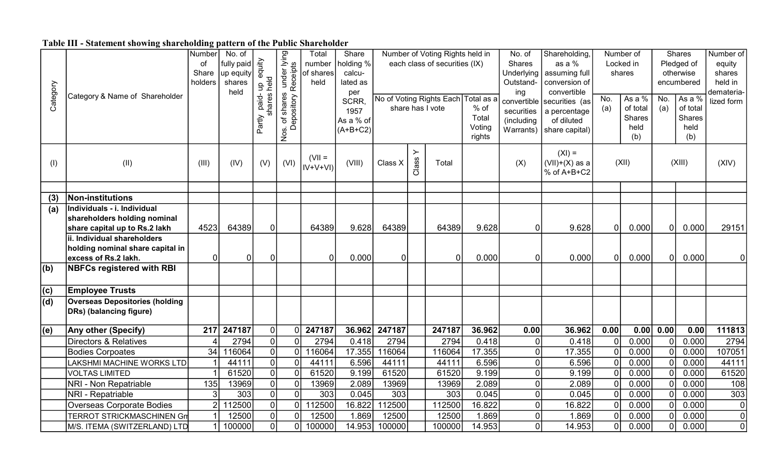## Table III - Statement showing shareholding pattern of the Public Shareholder

|             |                                       | Number         | No. of       |                |                         | Total                | Share               |                |       | Number of Voting Rights held in     |        | No. of                    | Shareholding,                  |                | Number of |                | Shares     | Number of        |
|-------------|---------------------------------------|----------------|--------------|----------------|-------------------------|----------------------|---------------------|----------------|-------|-------------------------------------|--------|---------------------------|--------------------------------|----------------|-----------|----------------|------------|------------------|
|             |                                       | οf             | fully paid   | equity         |                         | number               | holding %           |                |       | each class of securities (IX)       |        | Shares                    | as a %                         |                | Locked in |                | Pledged of | equity           |
|             |                                       | Share          | up equity    |                | under lying<br>Receipts | of shares            | calcu-              |                |       |                                     |        | Underlying                | assuming full                  |                | shares    |                | otherwise  | shares           |
|             |                                       | holders        | shares       | held<br>음      |                         | held                 | lated as            |                |       |                                     |        | Outstand-                 | conversion of                  |                |           |                | encumbered | held in          |
| Category    | Category & Name of Shareholder        |                | held         | S<br>¢         |                         |                      | per                 |                |       | No of Voting Rights Each Total as a |        | ing                       | convertible                    | No.            | As a $%$  | No.            | As a %     | demateria-       |
|             |                                       |                |              | paid-<br>ă     |                         |                      | <b>SCRR</b><br>1957 |                |       | share has I vote                    | % of   | convertible<br>securities | securities (as<br>a percentage | (a)            | of total  | (a)            | of total   | lized form       |
|             |                                       |                |              |                | of shares<br>Depository |                      | As a % of           |                |       |                                     | Total  | (including                | of diluted                     |                | Shares    |                | Shares     |                  |
|             |                                       |                |              | Partly         |                         |                      | $(A+B+C2)$          |                |       |                                     | Voting | Warrants)                 | share capital)                 |                | held      |                | held       |                  |
|             |                                       |                |              |                | Nos.                    |                      |                     |                |       |                                     | rights |                           |                                |                | (b)       |                | (b)        |                  |
|             |                                       |                |              |                |                         |                      |                     |                | ≻     |                                     |        |                           | $(XI) =$                       |                |           |                |            |                  |
| (1)         | (II)                                  | (III)          | (IV)         | (V)            | (VI)                    | $(VII =$<br>IV+V+VI) | (VIII)              | Class X        | Class | Total                               |        | (X)                       | $(VII)+(X)$ as a               |                | (XII)     |                | (XIII)     | (XIV)            |
|             |                                       |                |              |                |                         |                      |                     |                |       |                                     |        |                           | % of A+B+C2                    |                |           |                |            |                  |
|             |                                       |                |              |                |                         |                      |                     |                |       |                                     |        |                           |                                |                |           |                |            |                  |
| (3)         | <b>Non-institutions</b>               |                |              |                |                         |                      |                     |                |       |                                     |        |                           |                                |                |           |                |            |                  |
| (a)         | Individuals - i. Individual           |                |              |                |                         |                      |                     |                |       |                                     |        |                           |                                |                |           |                |            |                  |
|             | shareholders holding nominal          |                |              |                |                         |                      |                     |                |       |                                     |        |                           |                                |                |           |                |            |                  |
|             | share capital up to Rs.2 lakh         | 4523           | 64389        | $\overline{0}$ |                         | 64389                | 9.628               | 64389          |       | 64389                               | 9.628  | $\mathbf{0}$              | 9.628                          | $\overline{0}$ | 0.000     | 0              | 0.000      | 29151            |
|             | ii. Individual shareholders           |                |              |                |                         |                      |                     |                |       |                                     |        |                           |                                |                |           |                |            |                  |
|             | holding nominal share capital in      |                |              |                |                         |                      |                     |                |       |                                     |        |                           |                                |                |           |                |            |                  |
|             | excess of Rs.2 lakh.                  | 0              | $\mathbf{0}$ | $\mathbf 0$    |                         | $\overline{0}$       | 0.000               | $\overline{0}$ |       | $\Omega$                            | 0.000  | $\Omega$                  | 0.000                          | $\overline{0}$ | 0.000     | 0              | 0.000      |                  |
| $ $ (b)     | <b>NBFCs registered with RBI</b>      |                |              |                |                         |                      |                     |                |       |                                     |        |                           |                                |                |           |                |            |                  |
| $ c\rangle$ | <b>Employee Trusts</b>                |                |              |                |                         |                      |                     |                |       |                                     |        |                           |                                |                |           |                |            |                  |
| (d)         | <b>Overseas Depositories (holding</b> |                |              |                |                         |                      |                     |                |       |                                     |        |                           |                                |                |           |                |            |                  |
|             | DRs) (balancing figure)               |                |              |                |                         |                      |                     |                |       |                                     |        |                           |                                |                |           |                |            |                  |
| (e)         | Any other (Specify)                   | 217            | 247187       | $\overline{0}$ | 0                       | 247187               | 36.962              | 247187         |       | 247187                              | 36.962 | 0.00                      | 36.962                         | 0.00           | 0.00      | 0.00           | 0.00       | 111813           |
|             | <b>Directors &amp; Relatives</b>      |                | 2794         | $\pmb{0}$      | $\Omega$                | 2794                 | 0.418               | 2794           |       | 2794                                | 0.418  | 0                         | 0.418                          | $\mathbf 0$    | 0.000     | 0              | 0.000      | 2794             |
|             | <b>Bodies Corpoates</b>               | 34             | 116064       | $\overline{0}$ | $\Omega$                | 116064               | 17.355              | 116064         |       | 116064                              | 17.355 | $\mathbf 0$               | 17.355                         | $\mathbf 0$    | 0.000     | 0              | 0.000      | 107051           |
|             | LAKSHMI MACHINE WORKS LTD             |                | 44111        | $\overline{0}$ | $\mathbf{0}$            | 44111                | 6.596               | 44111          |       | 44111                               | 6.596  | $\mathbf 0$               | 6.596                          | $\mathbf 0$    | 0.000     | $\overline{0}$ | 0.000      | 44111            |
|             | <b>VOLTAS LIMITED</b>                 |                | 61520        | $\overline{0}$ | $\overline{0}$          | 61520                | 9.199               | 61520          |       | 61520                               | 9.199  | $\overline{0}$            | 9.199                          | $\overline{0}$ | 0.000     | $\overline{0}$ | 0.000      | 61520            |
|             | NRI - Non Repatriable                 | 135            | 13969        | $\overline{0}$ | 0                       | 13969                | 2.089               | 13969          |       | 13969                               | 2.089  | $\mathbf 0$               | 2.089                          | $\pmb{0}$      | 0.000     | 0              | 0.000      | 108              |
|             | NRI - Repatriable                     | 3              | 303          | $\overline{0}$ | $\overline{0}$          | 303                  | 0.045               | 303            |       | 303                                 | 0.045  | $\mathbf 0$               | 0.045                          | $\overline{0}$ | 0.000     | 0              | 0.000      | $\overline{303}$ |
|             | Overseas Corporate Bodies             | $\overline{2}$ | 112500       | $\overline{0}$ | 0l                      | 112500               | 16.822              | 112500         |       | 112500                              | 16.822 | 0                         | 16.822                         | $\mathbf 0$    | 0.000     | $\overline{0}$ | 0.000      |                  |
|             | <b>TERROT STRICKMASCHINEN Gm</b>      |                | 12500        | $\pmb{0}$      |                         | 12500                | 1.869               | 12500          |       | 12500                               | 1.869  | $\mathbf 0$               | 1.869                          | $\overline{0}$ | 0.000     | 0              | 0.000      | $\Omega$         |
|             | M/S. ITEMA (SWITZERLAND) LTD          |                | 100000       | $\overline{0}$ | $\overline{0}$          | 100000               | 14.953              | 100000         |       | 100000                              | 14.953 | 0                         | 14.953                         | $\overline{0}$ | 0.000     | 0              | 0.000      | $\mathbf{0}$     |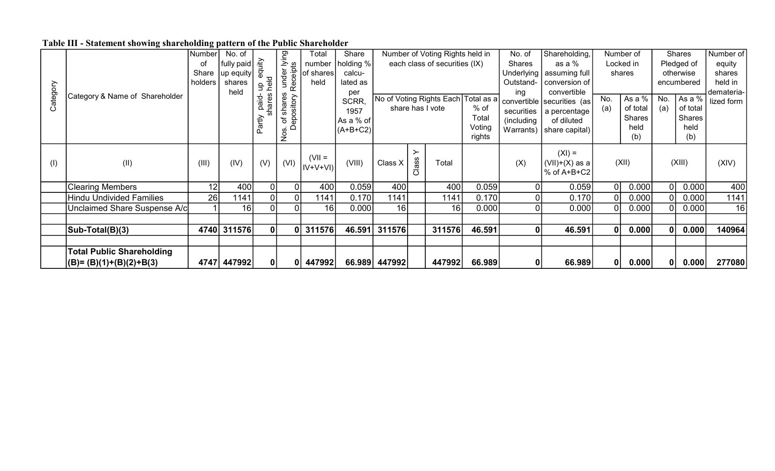## Table III - Statement showing shareholding pattern of the Public Shareholder

|          |                                  | Number  | No. of      |            |                     | Total     | Share      |               |       | Number of Voting Rights held in     |        | No. of         | Shareholding,              |     | Number of |              | <b>Shares</b> | Number of  |
|----------|----------------------------------|---------|-------------|------------|---------------------|-----------|------------|---------------|-------|-------------------------------------|--------|----------------|----------------------------|-----|-----------|--------------|---------------|------------|
|          |                                  | οt      | fully paid  | equity     | under lying         | number    | holding %  |               |       | each class of securities (IX)       |        | <b>Shares</b>  | as a %                     |     | Locked in |              | Pledged of    | equity     |
|          |                                  | Share   | up equity   |            | Receipts            | of shares | calcu-     |               |       |                                     |        | Underlying     | assuming full              |     | shares    |              | otherwise     | shares     |
|          |                                  | holders | shares      | held<br>용  |                     | held      | lated as   |               |       |                                     |        | Outstand-      | conversion of              |     |           |              | encumbered    | held in    |
|          | Category & Name of Shareholder   |         | held        |            |                     |           | per        |               |       |                                     |        | ing            | convertible                |     |           |              |               | demateria- |
| Category |                                  |         |             | paid-<br>đ |                     |           | SCRR,      |               |       | No of Voting Rights Each Total as a |        |                | convertible securities (as | No. | As a %    | No.          | As a %        | lized form |
|          |                                  |         |             |            | shares<br>epository |           | 1957       |               |       | share has I vote                    | % of   | securities     | a percentage               | (a) | of total  | (a)          | of total      |            |
|          |                                  |         |             | Partly     | ಕ                   |           | As a % of  |               |       |                                     | Total  | (including     | of diluted                 |     | Shares    |              | <b>Shares</b> |            |
|          |                                  |         |             |            | ≏<br>Nos.           |           | $(A+B+C2)$ |               |       |                                     | Voting | Warrants)      | share capital)             |     | held      |              | held          |            |
|          |                                  |         |             |            |                     |           |            |               |       |                                     | rights |                |                            |     | (b)       |              | (b)           |            |
|          |                                  |         |             |            |                     |           |            |               |       |                                     |        |                | $(XI) =$                   |     |           |              |               |            |
| (1)      | (II)                             | (III)   | (IV)        | (V)        | (VI)                | $(VII =$  | (VIII)     | Class X       |       | Total                               |        | (X)            | $(VII)+(X)$ as a           |     | (XII)     |              | (XIII)        | (XIV)      |
|          |                                  |         |             |            |                     | IV+V+VI)  |            |               | Class |                                     |        |                | % of A+B+C2                |     |           |              |               |            |
|          |                                  |         |             |            |                     |           |            |               |       |                                     |        |                |                            |     |           |              |               |            |
|          | <b>Clearing Members</b>          | 12      | 400         | 0          | 0                   | 400       | 0.059      | 400           |       | 400                                 | 0.059  | 0              | 0.059                      |     | 0.000     |              | 0.000         | 400        |
|          | <b>Hindu Undivided Families</b>  | 26      | 1141        | 0          | 01                  | 1141      | 0.170      | 1141          |       | 1141                                | 0.170  | $\overline{0}$ | 0.170                      |     | 0.000     |              | 0.000         | 1141       |
|          | Unclaimed Share Suspense A/c     |         | 16          | 0          | ΩI                  | 16        | 0.000      | 16            |       | 16                                  | 0.000  | 0              | 0.000                      |     | 0.000     |              | 0.000         | 16         |
|          |                                  |         |             |            |                     |           |            |               |       |                                     |        |                |                            |     |           |              |               |            |
|          | Sub-Total(B)(3)                  |         | 4740 311576 | 0          | 01                  | 311576    | 46.591     | 311576        |       | 311576                              | 46.591 | 0              | 46.591                     |     | 0.000     | $\mathbf 0$  | 0.000         | 140964     |
|          |                                  |         |             |            |                     |           |            |               |       |                                     |        |                |                            |     |           |              |               |            |
|          | <b>Total Public Shareholding</b> |         |             |            |                     |           |            |               |       |                                     |        |                |                            |     |           |              |               |            |
|          | $ (B)=(B)(1)+(B)(2)+B(3) $       |         | 4747 447992 | 0          | 0                   | 447992    |            | 66.989 447992 |       | 447992                              | 66.989 | 0              | 66.989                     |     | 0.000     | $\mathbf{0}$ | 0.000         | 277080     |